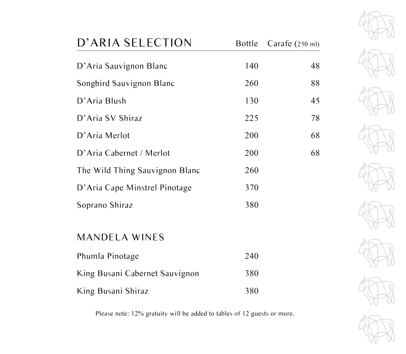| D'ARIA SELECTION               | <b>Bottle</b> | Carafe $(250 \text{ ml})$ |
|--------------------------------|---------------|---------------------------|
| D'Aria Sauvignon Blanc         | 140           | 48                        |
| Songbird Sauvignon Blanc       | 260           | 88                        |
| D'Aria Blush                   | 130           | 45                        |
| D'Aria SV Shiraz               | 225           | 78                        |
| D'Aria Merlot                  | 200           | 68                        |
| D'Aria Cabernet / Merlot       | 200           | 68                        |
| The Wild Thing Sauvignon Blanc | 260           |                           |
| D'Aria Cape Minstrel Pinotage  | 370           |                           |
| Soprano Shiraz                 | 380           |                           |
|                                |               |                           |
| <b>MANDELA WINES</b>           |               |                           |
| Phumla Pinotage                | 240           |                           |

King Busani Cabernet Sauvignon 380

King Busani Shiraz 380

Please note: 12% gratuity will be added to tables of 12 guests or more.



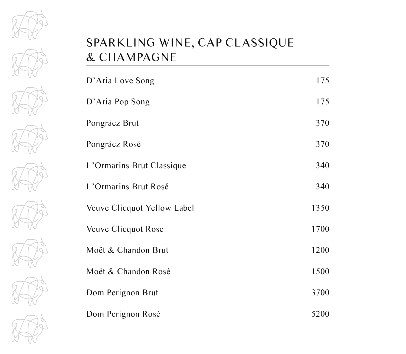

















#### SPARKLING WINE, CAP CLASSIQUE & CHAMPAGNE

| D'Aria Love Song            | 175  |
|-----------------------------|------|
| D'Aria Pop Song             | 175  |
| Pongrácz Brut               | 370  |
| Pongrácz Rosé               | 370  |
| L'Ormarins Brut Classique   | 340  |
| L'Ormarins Brut Rosé        | 340  |
| Veuve Clicquot Yellow Label | 1350 |
| Veuve Clicquot Rose         | 1700 |
| Moët & Chandon Brut         | 1200 |
| Moët & Chandon Rosé         | 1500 |
| Dom Perignon Brut           | 3700 |
| Dom Perignon Rosé           | 5200 |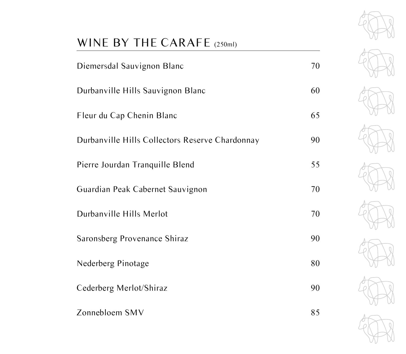# WINE BY THE CARAFE (250ml)

| Diemersdal Sauvignon Blanc                      | 70 |
|-------------------------------------------------|----|
| Durbanville Hills Sauvignon Blanc               | 60 |
| Fleur du Cap Chenin Blanc                       | 65 |
| Durbanville Hills Collectors Reserve Chardonnay | 90 |
| Pierre Jourdan Tranquille Blend                 | 55 |
| Guardian Peak Cabernet Sauvignon                | 70 |
| Durbanville Hills Merlot                        | 70 |
| Saronsberg Provenance Shiraz                    | 90 |
| Nederberg Pinotage                              | 80 |
| Cederberg Merlot/Shiraz                         | 90 |
| Zonnebloem SMV                                  | 85 |

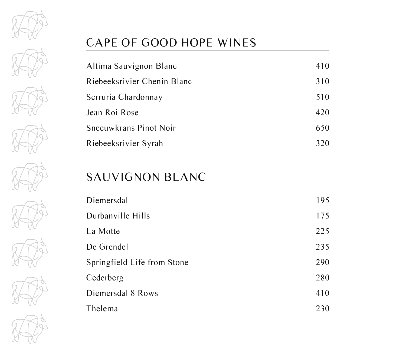

















### CAPE OF GOOD HOPE WINES

| Altima Sauvignon Blanc      | 410 |
|-----------------------------|-----|
| Riebeeksrivier Chenin Blanc | 310 |
| Serruria Chardonnay         | 510 |
| Jean Roi Rose               | 420 |
| Sneeuwkrans Pinot Noir      | 650 |
| Riebeeksrivier Syrah        | 320 |

#### SAUVIGNON BLANC

| Diemersdal                  | 195 |
|-----------------------------|-----|
| Durbanville Hills           | 175 |
| La Motte                    | 225 |
| De Grendel                  | 235 |
| Springfield Life from Stone | 290 |
| Cederberg                   | 280 |
| Diemersdal 8 Rows           | 410 |
| Thelema                     | 230 |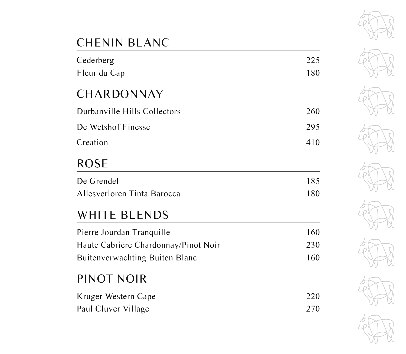# CHENIN BLANC

| Cederberg                            | 225 |
|--------------------------------------|-----|
| Fleur du Cap                         | 180 |
| CHARDONNAY                           |     |
| Durbanville Hills Collectors         | 260 |
| De Wetshof Finesse                   | 295 |
| Creation                             | 410 |
| <b>ROSE</b>                          |     |
| De Grendel                           | 185 |
| Allesverloren Tinta Barocca          | 180 |
| WHITE BLENDS                         |     |
| Pierre Jourdan Tranquille            | 160 |
| Haute Cabrière Chardonnay/Pinot Noir | 230 |

Buitenverwachting Buiten Blanc 160

## PINOT NOIR

| Kruger Western Cape | 220 |
|---------------------|-----|
| Paul Cluver Village | 270 |

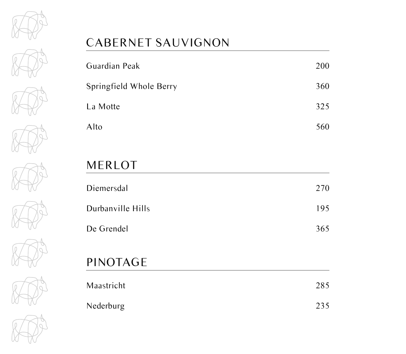















## CABERNET SAUVIGNON

| Guardian Peak           | 200 |
|-------------------------|-----|
| Springfield Whole Berry | 360 |
| La Motte                | 325 |
| Alto                    | 560 |

## MERLOT

| Diemersdal        | 270 |
|-------------------|-----|
| Durbanville Hills | 195 |
| De Grendel        | 365 |

# PINOTAGE

| Maastricht | 285 |
|------------|-----|
| Nederburg  | 235 |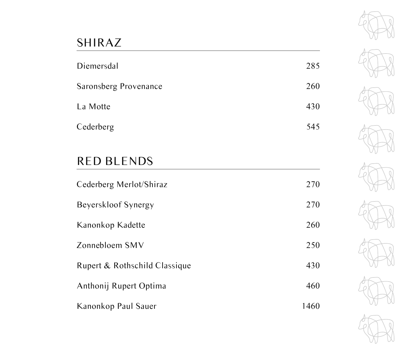## SHIRAZ

| Diemersdal            | 285 |
|-----------------------|-----|
| Saronsberg Provenance | 260 |
| La Motte              | 430 |
| Cederberg             | 545 |

## RED BLENDS

| Cederberg Merlot/Shiraz       | 270  |
|-------------------------------|------|
| Beyerskloof Synergy           | 270  |
| Kanonkop Kadette              | 260  |
| Zonnebloem SMV                | 250  |
| Rupert & Rothschild Classique | 430  |
| Anthonij Rupert Optima        | 460  |
| Kanonkop Paul Sauer           | 1460 |

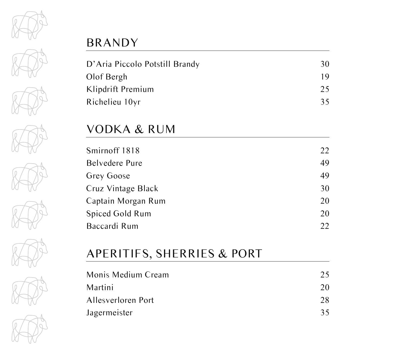

















## BRANDY

| D'Aria Piccolo Potstill Brandy | 30 |
|--------------------------------|----|
| Olof Bergh                     | 19 |
| Klipdrift Premium              | 25 |
| Richelieu 10yr                 | 35 |

#### VODKA & RUM

| Smirnoff 1818          | 22 |
|------------------------|----|
| Belvedere Pure         | 49 |
| Grey Goose             | 49 |
| Cruz Vintage Black     | 30 |
| Captain Morgan Rum     | 20 |
| <b>Spiced Gold Rum</b> | 20 |
| Baccardi Rum           | 22 |
|                        |    |

## APERITIFS, SHERRIES & PORT

| Monis Medium Cream | 25 |
|--------------------|----|
| Martini            | 20 |
| Allesverloren Port | 28 |
| Jagermeister       | 35 |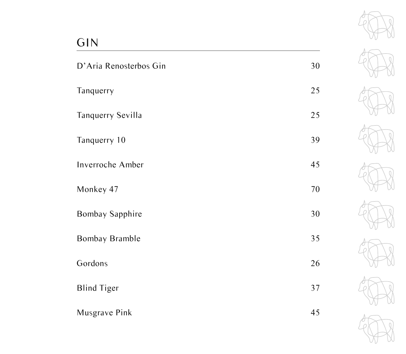# GIN

| D'Aria Renosterbos Gin   | 30 |
|--------------------------|----|
| Tanquerry                | 25 |
| <b>Tanquerry Sevilla</b> | 25 |
| Tanquerry 10             | 39 |
| Inverroche Amber         | 45 |
| Monkey 47                | 70 |
| <b>Bombay Sapphire</b>   | 30 |
| Bombay Bramble           | 35 |
| Gordons                  | 26 |
| <b>Blind Tiger</b>       | 37 |
| Musgrave Pink            | 45 |

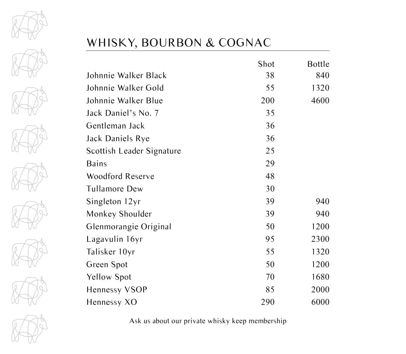







## WHISKY, BOURBON & COGNAC

|                           | Shot | <b>Bottle</b> |
|---------------------------|------|---------------|
| Johnnie Walker Black      | 38   | 840           |
| Johnnie Walker Gold       | 55   | 1320          |
| Johnnie Walker Blue       | 200  | 4600          |
| Jack Daniel's No. 7       | 35   |               |
| Gentleman Jack            | 36   |               |
| Jack Daniels Rye          | 36   |               |
| Scottish Leader Signature | 25   |               |
| <b>Bains</b>              | 29   |               |
| <b>Woodford Reserve</b>   | 48   |               |
| <b>Tullamore Dew</b>      | 30   |               |
| Singleton 12yr            | 39   | 940           |
| Monkey Shoulder           | 39   | 940           |
| Glenmorangie Original     | 50   | 1200          |
| Lagavulin 16yr            | 95   | 2300          |
| Talisker 10yr             | 55   | 1320          |
| Green Spot                | 50   | 1200          |
| Yellow Spot               | 70   | 1680          |
| Hennessy VSOP             | 85   | 2000          |
| Hennessy XO               | 290  | 6000          |

Ask us about our private whisky keep membership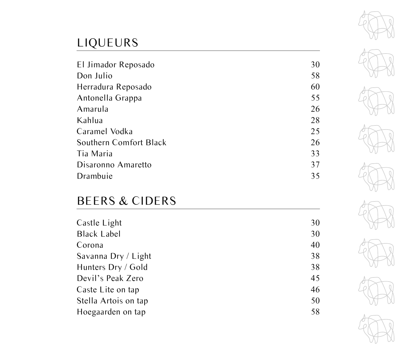# LIQUEURS

| El Jimador Reposado    | 30 |
|------------------------|----|
| Don Julio              | 58 |
| Herradura Reposado     | 60 |
| Antonella Grappa       | 55 |
| Amarula                | 26 |
| Kahlua                 | 28 |
| Caramel Vodka          | 25 |
| Southern Comfort Black | 26 |
| Tia Maria              | 33 |
| Disaronno Amaretto     | 37 |
| Drambuie               | 35 |

## BEERS & CIDERS

| Castle Light         | 30 |
|----------------------|----|
| <b>Black Label</b>   | 30 |
| Corona               | 40 |
| Savanna Dry / Light  | 38 |
| Hunters Dry / Gold   | 38 |
| Devil's Peak Zero    | 45 |
| Caste Lite on tap    | 46 |
| Stella Artois on tap | 50 |
| Hoegaarden on tap    | 58 |
|                      |    |